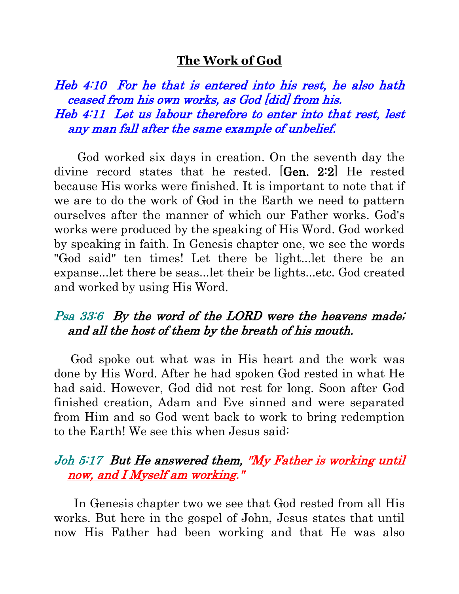#### **The Work of God**

Heb 4:10 For he that is entered into his rest, he also hath ceased from his own works, as God [did] from his. Heb 4:11 Let us labour therefore to enter into that rest, lest any man fall after the same example of unbelief.

 God worked six days in creation. On the seventh day the divine record states that he rested. [Gen. 2:2] He rested because His works were finished. It is important to note that if we are to do the work of God in the Earth we need to pattern ourselves after the manner of which our Father works. God's works were produced by the speaking of His Word. God worked by speaking in faith. In Genesis chapter one, we see the words "God said" ten times! Let there be light...let there be an expanse...let there be seas...let their be lights...etc. God created and worked by using His Word.

## Psa 33:6 By the word of the LORD were the heavens made; and all the host of them by the breath of his mouth.

 God spoke out what was in His heart and the work was done by His Word. After he had spoken God rested in what He had said. However, God did not rest for long. Soon after God finished creation, Adam and Eve sinned and were separated from Him and so God went back to work to bring redemption to the Earth! We see this when Jesus said:

## Joh 5:17 But He answered them, "My Father is working until now, and I Myself am working."

 In Genesis chapter two we see that God rested from all His works. But here in the gospel of John, Jesus states that until now His Father had been working and that He was also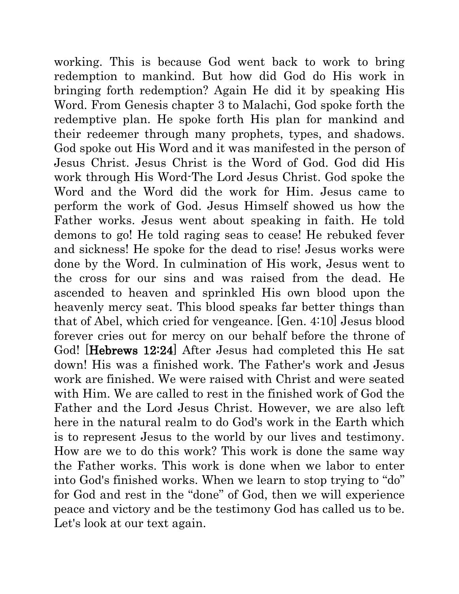working. This is because God went back to work to bring redemption to mankind. But how did God do His work in bringing forth redemption? Again He did it by speaking His Word. From Genesis chapter 3 to Malachi, God spoke forth the redemptive plan. He spoke forth His plan for mankind and their redeemer through many prophets, types, and shadows. God spoke out His Word and it was manifested in the person of Jesus Christ. Jesus Christ is the Word of God. God did His work through His Word-The Lord Jesus Christ. God spoke the Word and the Word did the work for Him. Jesus came to perform the work of God. Jesus Himself showed us how the Father works. Jesus went about speaking in faith. He told demons to go! He told raging seas to cease! He rebuked fever and sickness! He spoke for the dead to rise! Jesus works were done by the Word. In culmination of His work, Jesus went to the cross for our sins and was raised from the dead. He ascended to heaven and sprinkled His own blood upon the heavenly mercy seat. This blood speaks far better things than that of Abel, which cried for vengeance. [Gen. 4:10] Jesus blood forever cries out for mercy on our behalf before the throne of God! [Hebrews 12:24] After Jesus had completed this He sat down! His was a finished work. The Father's work and Jesus work are finished. We were raised with Christ and were seated with Him. We are called to rest in the finished work of God the Father and the Lord Jesus Christ. However, we are also left here in the natural realm to do God's work in the Earth which is to represent Jesus to the world by our lives and testimony. How are we to do this work? This work is done the same way the Father works. This work is done when we labor to enter into God's finished works. When we learn to stop trying to "do" for God and rest in the "done" of God, then we will experience peace and victory and be the testimony God has called us to be. Let's look at our text again.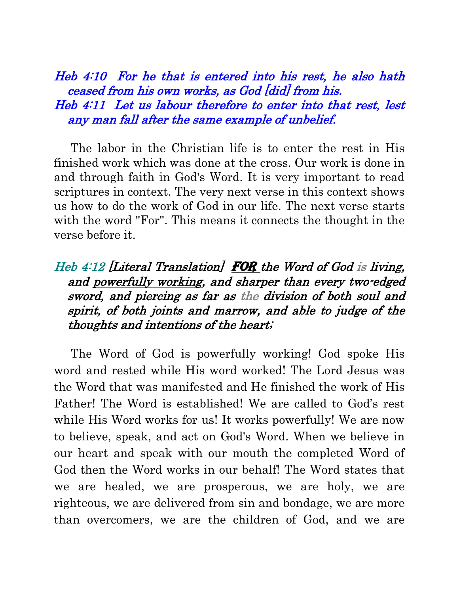#### Heb 4:10 For he that is entered into his rest, he also hath ceased from his own works, as God [did] from his. Heb 4:11 Let us labour therefore to enter into that rest, lest any man fall after the same example of unbelief.

 The labor in the Christian life is to enter the rest in His finished work which was done at the cross. Our work is done in and through faith in God's Word. It is very important to read scriptures in context. The very next verse in this context shows us how to do the work of God in our life. The next verse starts with the word "For". This means it connects the thought in the verse before it.

# Heb 4:12 [Literal Translation] FOR the Word of God is living, and powerfully working, and sharper than every two-edged sword, and piercing as far as the division of both soul and spirit, of both joints and marrow, and able to judge of the thoughts and intentions of the heart;

 The Word of God is powerfully working! God spoke His word and rested while His word worked! The Lord Jesus was the Word that was manifested and He finished the work of His Father! The Word is established! We are called to God's rest while His Word works for us! It works powerfully! We are now to believe, speak, and act on God's Word. When we believe in our heart and speak with our mouth the completed Word of God then the Word works in our behalf! The Word states that we are healed, we are prosperous, we are holy, we are righteous, we are delivered from sin and bondage, we are more than overcomers, we are the children of God, and we are